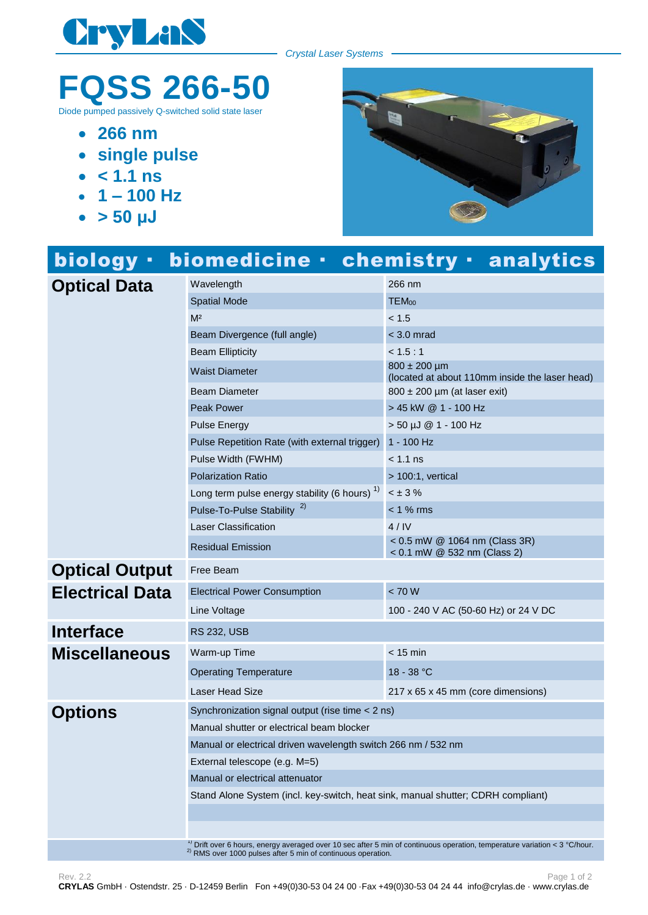

*Crystal Laser Systems*

## **FQSS 266-50**

Diode pumped passively Q-switched solid state laser

- **266 nm**
- **single pulse**
- $\cdot$   $\leq 1.1$  **ns**
- $-1 100$  Hz
- $\bullet$  > 50  $\mu$ J



| biology ·              |                                                                                  | biomedicine · chemistry · analytics                                |
|------------------------|----------------------------------------------------------------------------------|--------------------------------------------------------------------|
| <b>Optical Data</b>    | Wavelength                                                                       | 266 nm                                                             |
|                        | <b>Spatial Mode</b>                                                              | TEM <sub>00</sub>                                                  |
|                        | M <sup>2</sup>                                                                   | < 1.5                                                              |
|                        | Beam Divergence (full angle)                                                     | < 3.0 mrad                                                         |
|                        | <b>Beam Ellipticity</b>                                                          | < 1.5 : 1                                                          |
|                        | <b>Waist Diameter</b>                                                            | $800 \pm 200$ µm<br>(located at about 110mm inside the laser head) |
|                        | <b>Beam Diameter</b>                                                             | $800 \pm 200$ µm (at laser exit)                                   |
|                        | <b>Peak Power</b>                                                                | > 45 kW @ 1 - 100 Hz                                               |
|                        | <b>Pulse Energy</b>                                                              | > 50 µJ @ 1 - 100 Hz                                               |
|                        | Pulse Repetition Rate (with external trigger)                                    | $1 - 100$ Hz                                                       |
|                        | Pulse Width (FWHM)                                                               | < 1.1 ns                                                           |
|                        | <b>Polarization Ratio</b>                                                        | $> 100:1$ , vertical                                               |
|                        | Long term pulse energy stability (6 hours) <sup>1)</sup>                         | $< \pm 3 \%$                                                       |
|                        | Pulse-To-Pulse Stability <sup>2)</sup>                                           | $< 1$ % rms                                                        |
|                        | <b>Laser Classification</b>                                                      | 4/IV                                                               |
|                        | <b>Residual Emission</b>                                                         | < 0.5 mW @ 1064 nm (Class 3R)<br>< 0.1 mW @ 532 nm (Class 2)       |
| <b>Optical Output</b>  | Free Beam                                                                        |                                                                    |
| <b>Electrical Data</b> | <b>Electrical Power Consumption</b>                                              | < 70 W                                                             |
|                        | Line Voltage                                                                     | 100 - 240 V AC (50-60 Hz) or 24 V DC                               |
| <b>Interface</b>       | <b>RS 232, USB</b>                                                               |                                                                    |
| <b>Miscellaneous</b>   | Warm-up Time                                                                     | $< 15$ min                                                         |
|                        | <b>Operating Temperature</b>                                                     | 18 - 38 °C                                                         |
|                        | <b>Laser Head Size</b>                                                           | 217 x 65 x 45 mm (core dimensions)                                 |
| <b>Options</b>         | Synchronization signal output (rise time < 2 ns)                                 |                                                                    |
|                        | Manual shutter or electrical beam blocker                                        |                                                                    |
|                        | Manual or electrical driven wavelength switch 266 nm / 532 nm                    |                                                                    |
|                        | External telescope (e.g. M=5)                                                    |                                                                    |
|                        | Manual or electrical attenuator                                                  |                                                                    |
|                        | Stand Alone System (incl. key-switch, heat sink, manual shutter; CDRH compliant) |                                                                    |
|                        |                                                                                  |                                                                    |
|                        |                                                                                  |                                                                    |
|                        |                                                                                  |                                                                    |

<sup>1)</sup> Drift over 6 hours, energy averaged over 10 sec after 5 min of continuous operation, temperature variation < 3 °C/hour.  $^{2)}$  RMS over 1000 pulses after 5 min of continuous operation.